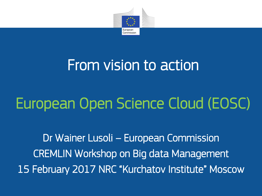

# From vision to action

# European Open Science Cloud (EOSC)

Dr Wainer Lusoli – European Commission CREMLIN Workshop on Big data Management 15 February 2017 NRC "Kurchatov Institute" Moscow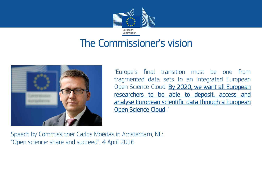

#### The Commissioner's vision



"Europe's final transition must be one from fragmented data sets to an integrated European Open Science Cloud. By 2020, we want all European researchers to be able to deposit, access and analyse European scientific data through a European Open Science Cloud.."

Speech by Commissioner Carlos Moedas in Amsterdam, NL: "Open science: share and succeed", 4 April 2016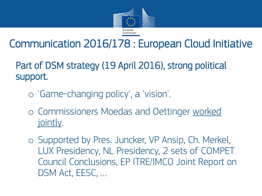

## Communication 2016/178 : European Cloud Initiative

Part of DSM strategy (19 April 2016), strong political support.

- o 'Game-changing policy', a 'vision'.
- o Commissioners Moedas and Oettinger worked jointly.
- o Supported by Pres. Juncker, VP Ansip, Ch. Merkel, LUX Presidency, NL Presidency, 2 sets of COMPET Council Conclusions, EP ITRE/IMCO Joint Report on DSM Act, EESC, …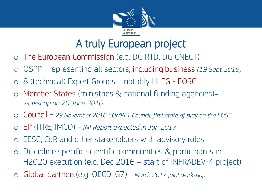

#### A truly European project

- o The European Commission (e.g. DG RTD, DG CNECT)
- o OSPP representing all sectors, including business *(19 Sept 2016)*
- o 8 (technical) Expert Groups notably HLEG EOSC
- o Member States (ministries & national funding agencies)*– workshop on 29 June 2016*
- o Council *29 November 2016 COMPET Council: first state of play on the EOSC*
- o EP (ITRE, IMCO) *INI Report expected in Jan 2017*
- EESC, CoR and other stakeholders with advisory roles
- o Discipline specific scientific communities & participants in H2020 execution (e.g. Dec 2016 – start of INFRADEV-4 project)
- o Global partners(e.g. OECD, G7) *March 2017 joint workshop*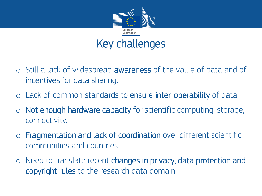

## Key challenges

- $\circ$  Still a lack of widespread **awareness** of the value of data and of incentives for data sharing.
- o Lack of common standards to ensure **inter-operability** of data.
- $\circ$  Not enough hardware capacity for scientific computing, storage, connectivity.
- o Fragmentation and lack of coordination over different scientific communities and countries.
- $\circ$  Need to translate recent changes in privacy, data protection and copyright rules to the research data domain.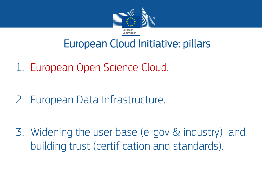

#### European Cloud Initiative: pillars

- 1. European Open Science Cloud.
- 2. European Data Infrastructure.
- 3. Widening the user base (e-gov & industry) and building trust (certification and standards).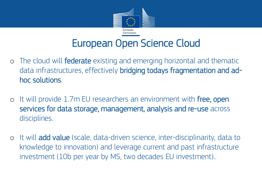

#### European Open Science Cloud

- o The cloud will federate existing and emerging horizontal and thematic data infrastructures, effectively bridging todays fragmentation and adhoc solutions.
- o It will provide 1.7m EU researchers an environment with free, open services for data storage, management, analysis and re-use across disciplines.
- o It will add value (scale, data-driven science, inter-disciplinarity, data to knowledge to innovation) and leverage current and past infrastructure investment (10b per year by MS, two decades EU investment)..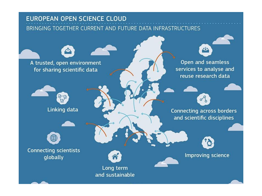#### **EUROPEAN OPEN SCIENCE CLOUD**

BRINGING TOGETHER CURRENT AND FUTURE DATA INFRASTRUCTURES

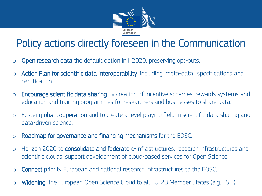

#### Policy actions directly foreseen in the Communication

- o Open research data the default option in H2020, preserving opt-outs.
- o Action Plan for scientific data interoperability, including 'meta-data', specifications and certification.
- o Encourage scientific data sharing by creation of incentive schemes, rewards systems and education and training programmes for researchers and businesses to share data.
- o Foster global cooperation and to create a level playing field in scientific data sharing and data-driven science.
- o Roadmap for governance and financing mechanisms for the EOSC.
- o Horizon 2020 to consolidate and federate e-infrastructures, research infrastructures and scientific clouds, support development of cloud-based services for Open Science.
- o Connect priority European and national research infrastructures to the EOSC.
- o Widening the European Open Science Cloud to all EU-28 Member States (e.g. ESIF)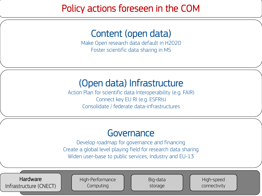#### Policy actions foreseen in the COM

#### Content (open data)

Make Open research data default in H2020 Foster scientific data sharing in MS

#### (Open data) Infrastructure

Action Plan for scientific data Interoperability (e.g. FAIR) Connect key EU RI (e.g. ESFRIs) Consolidate / federate data-infrastructures

#### **Governance**

Develop roadmap for governance and financing Create a global level playing field for research data sharing Widen user-base to public services, Industry and EU-13

Hardware Infrastructure (CNECT) High-Performance Computing

Big-data storage

High-speed connectivity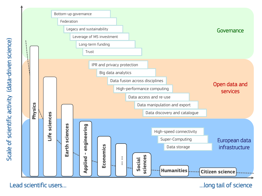

-driven science)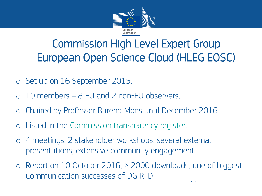

## Commission High Level Expert Group European Open Science Cloud (HLEG EOSC)

- o Set up on 16 September 2015.
- o 10 members 8 EU and 2 non-EU observers.
- o Chaired by Professor Barend Mons until December 2016.
- o Listed in the [Commission transparency register.](http://ec.europa.eu/transparency/regexpert/index.cfm?do=groupDetail.groupDetail&groupID=3353)
- o 4 meetings, 2 stakeholder workshops, several external presentations, extensive community engagement.
- o Report on 10 October 2016, > 2000 downloads, one of biggest Communication successes of DG RTD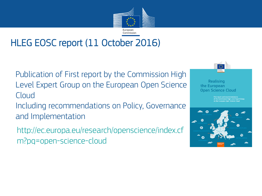

#### HLEG EOSC report (11 October 2016)

Publication of First report by the Commission High Level Expert Group on the European Open Science Cloud

Including recommendations on Policy, Governance and Implementation

http://ec.europa.eu/research/openscience/index.cf m?pg=open-science-cloud



Realising the European **Open Science Cloud** 

report and recommendations<br>le Commission High Level Expert Group<br>le European Open Science Cloud

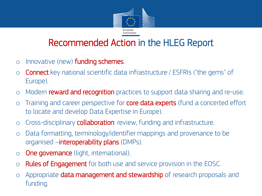

#### Recommended Action in the HLEG Report

- $\circ$  Innovative (new) **funding schemes**.
- o Connect key national scientific data infrastructure / ESFRIs ("the gems" of Europe).
- o Modern reward and recognition practices to support data sharing and re-use.
- $\circ$  Training and career perspective for **core data experts** (fund a concerted effort to locate and develop Data Expertise in Europe).
- o Cross-disciplinary collaboration: review, funding and infrastructure.
- o Data formatting, terminology/identifier mappings and provenance to be organised –interoperability plans (DMPs).
- o **One governance** (light, international).
- o **Rules of Engagement** for both use and service provision in the EOSC.
- o Appropriate data management and stewardship of research proposals and funding.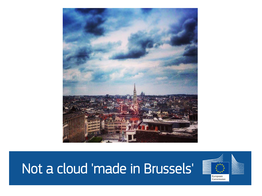

# Not a cloud 'made in Brussels'

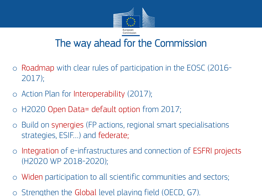

#### The way ahead for the Commission

- o Roadmap with clear rules of participation in the EOSC (2016- 2017);
- o Action Plan for Interoperability (2017);
- o H2020 Open Data= default option from 2017;
- o Build on synergies (FP actions, regional smart specialisations strategies, ESIF…) and federate;
- o Integration of e-infrastructures and connection of ESFRI projects (H2020 WP 2018-2020);
- o Widen participation to all scientific communities and sectors;
- o Strengthen the Global level playing field (OECD, G7).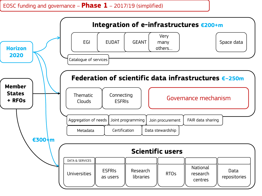#### EOSC funding and governance – **Phase 1** – 2017/19 (simplified)

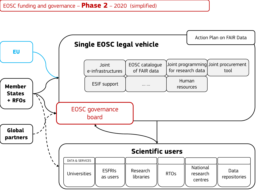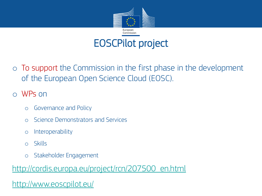

EOSCPilot project

- o To support the Commission in the first phase in the development of the European Open Science Cloud (EOSC).
- o WPs on
	- o Governance and Policy
	- o Science Demonstrators and Services
	- o Interoperability
	- o Skills
	- o Stakeholder Engagement

[http://cordis.europa.eu/project/rcn/207500\\_en.html](http://cordis.europa.eu/project/rcn/207500_en.html)

<http://www.eoscpilot.eu/>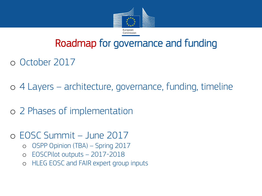

#### Roadmap for governance and funding

o October 2017

o 4 Layers – architecture, governance, funding, timeline

o 2 Phases of implementation

o EOSC Summit – June 2017

- o OSPP Opinion (TBA) Spring 2017
- o EOSCPilot outputs 2017-2018
- o HLEG EOSC and FAIR expert group inputs